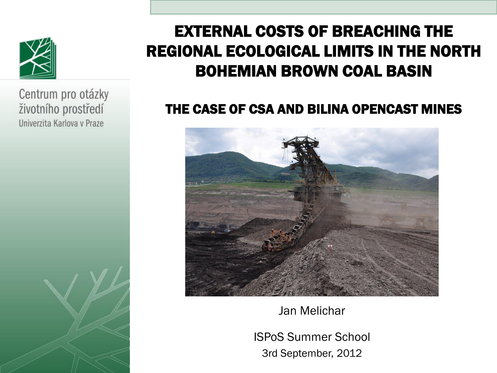

Centrum pro otázky životního prostředí Univerzita Karlova v Praze

## EXTERNAL COSTS OF BREACHING THE REGIONAL ECOLOGICAL LIMITS IN THE NORTH BOHEMIAN BROWN COAL BASIN

#### THE CASE OF CSA AND BILINA OPENCAST MINES



Jan Melichar

ISPoS Summer School 3rd September, 2012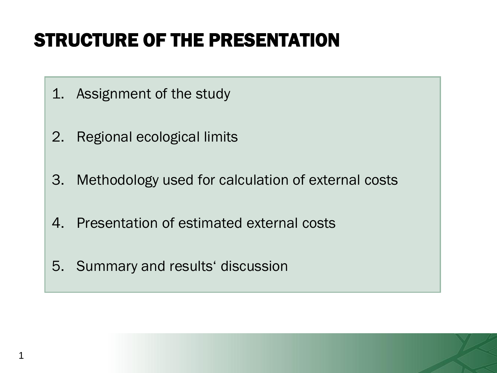# STRUCTURE OF THE PRESENTATION

- 1. Assignment of the study
- 2. Regional ecological limits
- 3. Methodology used for calculation of external costs
- 4. Presentation of estimated external costs
- 5. Summary and results' discussion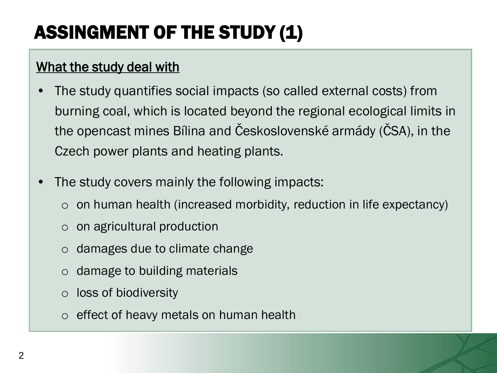# ASSINGMENT OF THE STUDY (1)

#### What the study deal with

- The study quantifies social impacts (so called external costs) from burning coal, which is located beyond the regional ecological limits in the opencast mines Bílina and Československé armády (ČSA), in the Czech power plants and heating plants.
- The study covers mainly the following impacts:
	- $\circ$  on human health (increased morbidity, reduction in life expectancy)
	- o on agricultural production
	- o damages due to climate change
	- o damage to building materials
	- o loss of biodiversity
	- o effect of heavy metals on human health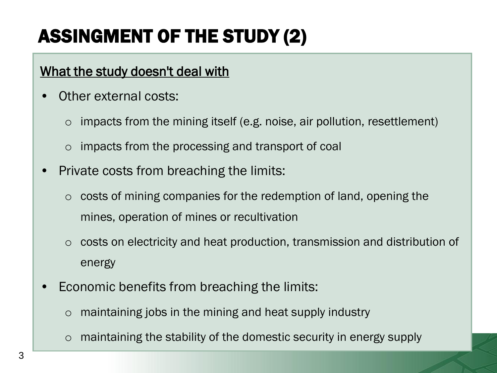# ASSINGMENT OF THE STUDY (2)

#### What the study doesn't deal with

- Other external costs:
	- $\circ$  impacts from the mining itself (e.g. noise, air pollution, resettlement)
	- o impacts from the processing and transport of coal
- Private costs from breaching the limits:
	- o costs of mining companies for the redemption of land, opening the mines, operation of mines or recultivation
	- o costs on electricity and heat production, transmission and distribution of energy
- Economic benefits from breaching the limits:
	- $\circ$  maintaining jobs in the mining and heat supply industry
	- maintaining the stability of the domestic security in energy supply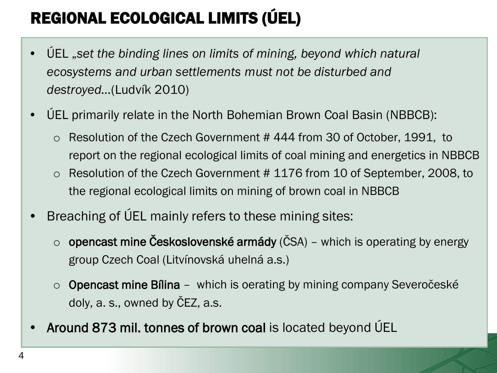# REGIONAL ECOLOGICAL LIMITS (ÚEL)

- ÚEL "*set the binding lines on limits of mining, beyond which natural ecosystems and urban settlements must not be disturbed and destroyed…*(Ludvík 2010)
- ÚEL primarily relate in the North Bohemian Brown Coal Basin (NBBCB):
	- o Resolution of the Czech Government # 444 from 30 of October, 1991, to report on the regional ecological limits of coal mining and energetics in NBBCB
	- o Resolution of the Czech Government # 1176 from 10 of September, 2008, to the regional ecological limits on mining of brown coal in NBBCB
- Breaching of ÚEL mainly refers to these mining sites:
	- $\circ$  opencast mine Československé armády (ČSA) which is operating by energy group Czech Coal (Litvínovská uhelná a.s.)
	- $\circ$  Opencast mine Bílina which is oerating by mining company Severočeské doly, a. s., owned by ČEZ, a.s.
- Around 873 mil. tonnes of brown coal is located beyond ÚEL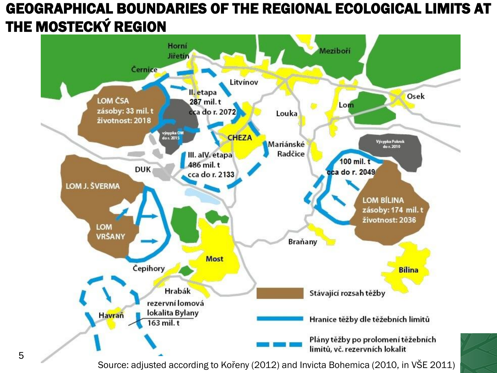#### GEOGRAPHICAL BOUNDARIES OF THE REGIONAL ECOLOGICAL LIMITS AT THE MOSTECKÝ REGION



Source: adjusted according to Kořeny (2012) and Invicta Bohemica (2010, in VŠE 2011)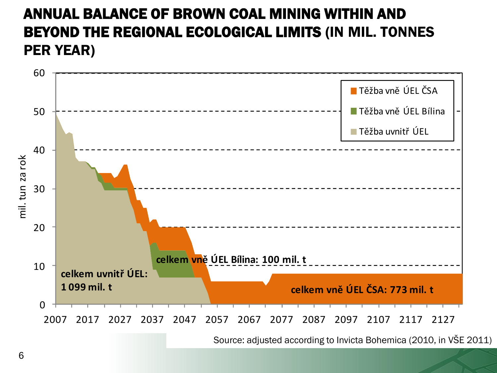#### ANNUAL BALANCE OF BROWN COAL MINING WITHIN AND BEYOND THE REGIONAL ECOLOGICAL LIMITS (IN MIL. TONNES PER YEAR)



6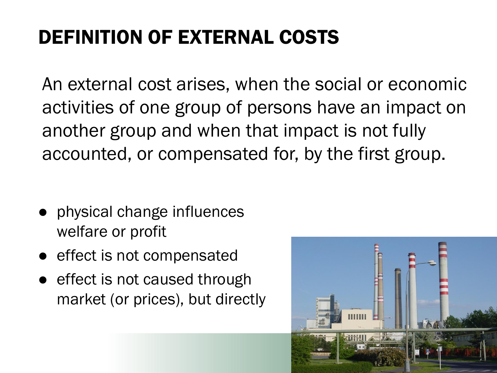# DEFINITION OF EXTERNAL COSTS

An external cost arises, when the social or economic activities of one group of persons have an impact on another group and when that impact is not fully accounted, or compensated for, by the first group.

- physical change influences welfare or profit
- effect is not compensated
- effect is not caused through market (or prices), but directly

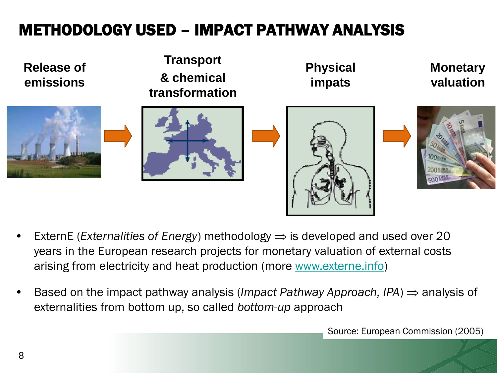## METHODOLOGY USED – IMPACT PATHWAY ANALYSIS



- ExternE (*Externalities of Energy*) methodology  $\Rightarrow$  is developed and used over 20 years in the European research projects for monetary valuation of external costs arising from electricity and heat production (more [www.externe.info](http://www.externe.info/))
- Based on the impact pathway analysis (*Impact Pathway Approach, IPA*)  $\Rightarrow$  analysis of externalities from bottom up, so called *bottom-up* approach

Source: European Commission (2005)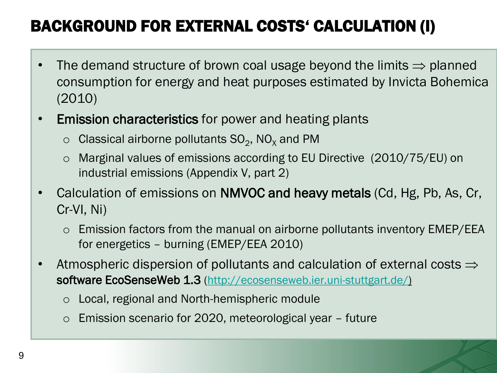## BACKGROUND FOR EXTERNAL COSTS' CALCULATION (I)

- The demand structure of brown coal usage beyond the limits  $\Rightarrow$  planned consumption for energy and heat purposes estimated by Invicta Bohemica (2010)
- Emission characteristics for power and heating plants
	- $\circ$  Classical airborne pollutants SO<sub>2</sub>, NO<sub>x</sub> and PM
	- o Marginal values of emissions according to EU Directive (2010/75/EU) on industrial emissions (Appendix V, part 2)
- Calculation of emissions on NMVOC and heavy metals (Cd, Hg, Pb, As, Cr, Cr-VI, Ni)
	- o Emission factors from the manual on airborne pollutants inventory EMEP/EEA for energetics – burning (EMEP/EEA 2010)
- Atmospheric dispersion of pollutants and calculation of external costs  $\Rightarrow$ software EcoSenseWeb 1.3 [\(http://ecosenseweb.ier.uni-stuttgart.de/\)](http://ecosenseweb.ier.uni-stuttgart.de/)
	- o Local, regional and North-hemispheric module
	- o Emission scenario for 2020, meteorological year future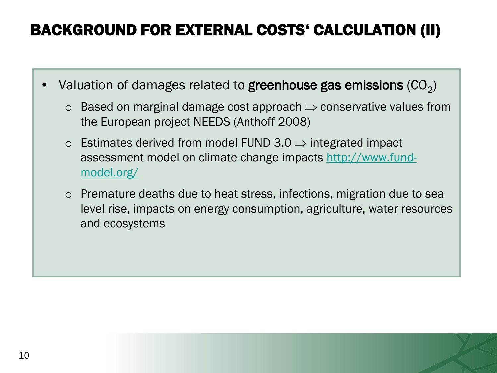### BACKGROUND FOR EXTERNAL COSTS' CALCULATION (II)

- Valuation of damages related to greenhouse gas emissions  $(CO_2)$ 
	- $\circ$  Based on marginal damage cost approach  $\Rightarrow$  conservative values from the European project NEEDS (Anthoff 2008)
	- $\circ$  Estimates derived from model FUND 3.0  $\Rightarrow$  integrated impact assessment model on climate change impacts [http://www.fund](http://www.fund-model.org/)[model.org/](http://www.fund-model.org/)
	- o Premature deaths due to heat stress, infections, migration due to sea level rise, impacts on energy consumption, agriculture, water resources and ecosystems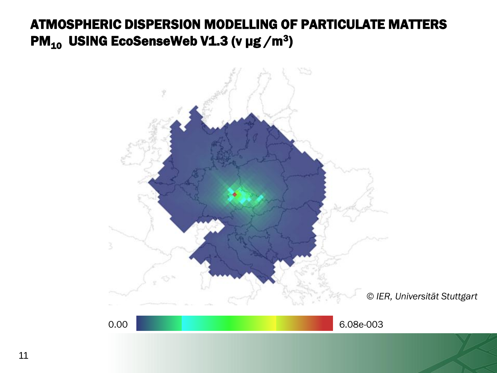#### ATMOSPHERIC DISPERSION MODELLING OF PARTICULATE MATTERS PM $_{10}$  USING EcoSenseWeb V1.3 (v µg /m $^3)$

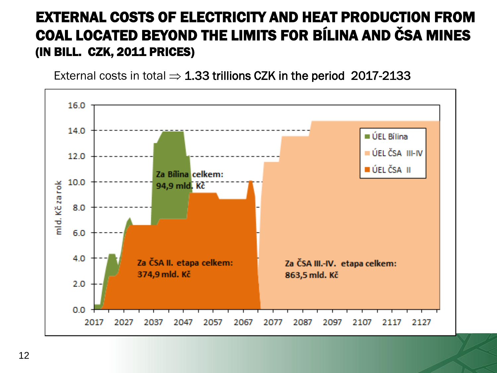#### EXTERNAL COSTS OF ELECTRICITY AND HEAT PRODUCTION FROM COAL LOCATED BEYOND THE LIMITS FOR BÍLINA AND ČSA MINES (IN BILL. CZK, 2011 PRICES)

External costs in total  $\Rightarrow$  1.33 trillions CZK in the period 2017-2133

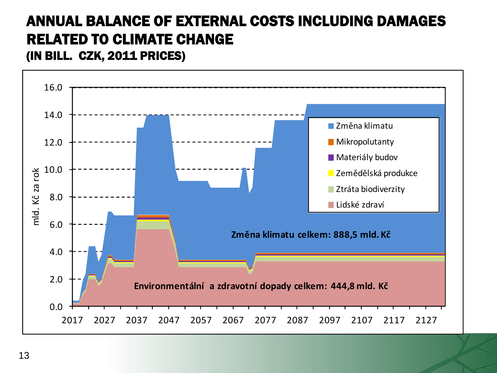# ANNUAL BALANCE OF EXTERNAL COSTS INCLUDING DAMAGES RELATED TO CLIMATE CHANGE



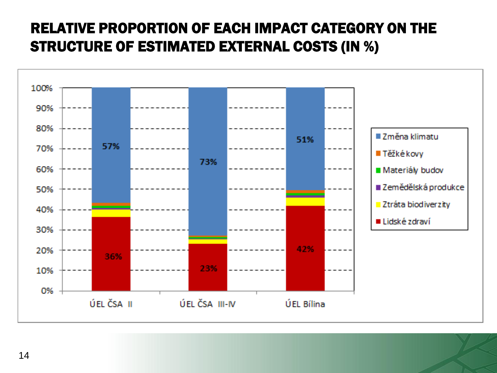#### RELATIVE PROPORTION OF EACH IMPACT CATEGORY ON THE STRUCTURE OF ESTIMATED EXTERNAL COSTS (IN %)

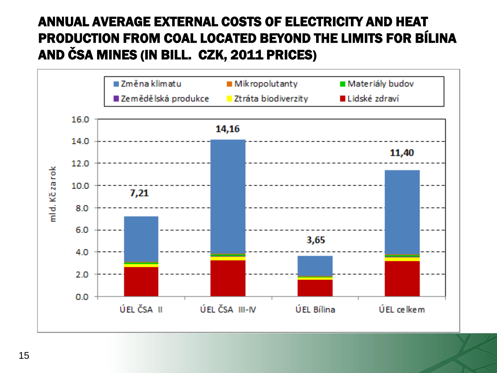#### ANNUAL AVERAGE EXTERNAL COSTS OF ELECTRICITY AND HEAT PRODUCTION FROM COAL LOCATED BEYOND THE LIMITS FOR BÍLINA AND ČSA MINES (IN BILL. CZK, 2011 PRICES)

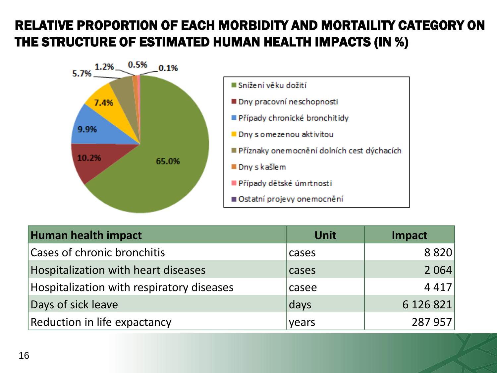#### RELATIVE PROPORTION OF EACH MORBIDITY AND MORTAILITY CATEGORY ON THE STRUCTURE OF ESTIMATED HUMAN HEALTH IMPACTS (IN %)





| Human health impact                       | <b>Unit</b> | <b>Impact</b> |
|-------------------------------------------|-------------|---------------|
| <b>Cases of chronic bronchitis</b>        | cases       | 8820          |
| Hospitalization with heart diseases       | cases       | 2 0 6 4       |
| Hospitalization with respiratory diseases | casee       | 4 4 1 7       |
| Days of sick leave                        | days        | 6 126 821     |
| Reduction in life expactancy              | years       | 287 957       |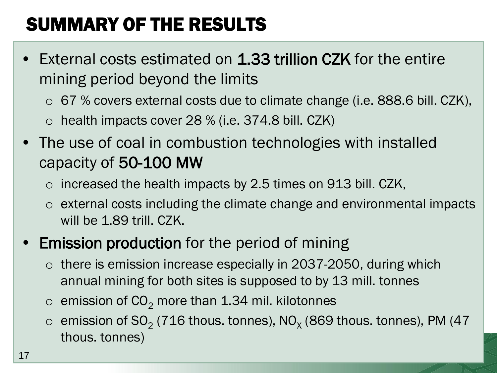# SUMMARY OF THE RESULTS

- External costs estimated on 1.33 trillion CZK for the entire mining period beyond the limits
	- $\circ$  67 % covers external costs due to climate change (i.e. 888.6 bill. CZK),
	- $\circ$  health impacts cover 28 % (i.e. 374.8 bill. CZK)
- The use of coal in combustion technologies with installed capacity of 50-100 MW
	- $\circ$  increased the health impacts by 2.5 times on 913 bill. CZK,
	- o external costs including the climate change and environmental impacts will be 1.89 trill. CZK.

#### **Emission production** for the period of mining

- o there is emission increase especially in 2037-2050, during which annual mining for both sites is supposed to by 13 mill. tonnes
- $\circ$  emission of CO<sub>2</sub> more than 1.34 mil. kilotonnes
- $\circ~$  emission of SO<sub>2</sub> (716 thous. tonnes), NO<sub>x</sub> (869 thous. tonnes), PM (47 thous. tonnes)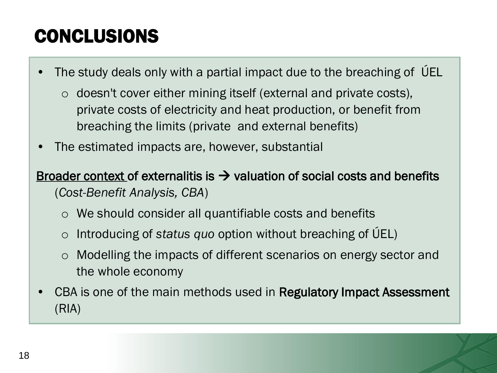# CONCLUSIONS

The study deals only with a partial impact due to the breaching of UEL

- o doesn't cover either mining itself (external and private costs), private costs of electricity and heat production, or benefit from breaching the limits (private and external benefits)
- The estimated impacts are, however, substantial

Broader context of externalitis is  $\rightarrow$  valuation of social costs and benefits (*Cost-Benefit Analysis, CBA*)

- o We should consider all quantifiable costs and benefits
- o Introducing of *status quo* option without breaching of ÚEL)
- o Modelling the impacts of different scenarios on energy sector and the whole economy
- CBA is one of the main methods used in Regulatory Impact Assessment (RIA)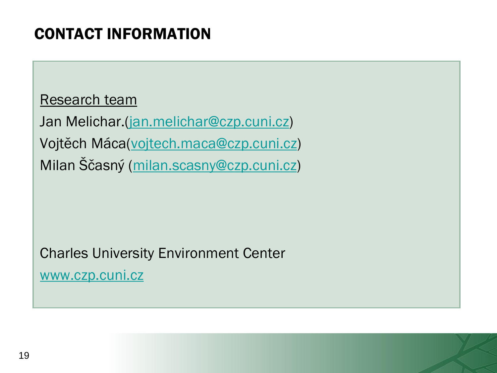### CONTACT INFORMATION

Research team

Jan Melichar.[\(jan.melichar@czp.cuni.cz\)](mailto:jan.melichar@czp.cuni.cz) Vojtěch Máca([vojtech.maca@czp.cuni.cz](mailto:vojtech.maca@czp.cuni.cz)) Milan Ščasný ([milan.scasny@czp.cuni.cz\)](mailto:milan.scasny@czp.cuni.cz)

Charles University Environment Center

[www.czp.cuni.cz](http://www.czp.cuni.cz/)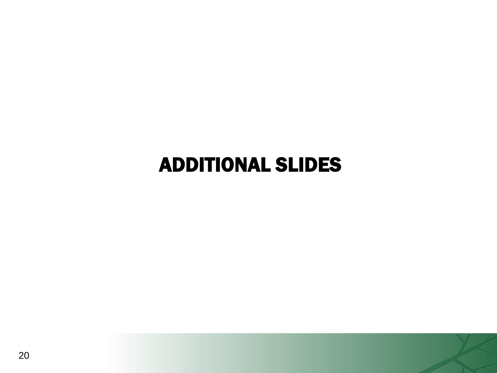# ADDITIONAL SLIDES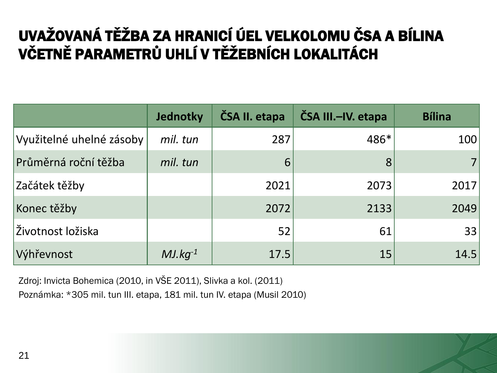## UVAŽOVANÁ TĚŽBA ZA HRANICÍ ÚEL VELKOLOMU ČSA A BÍLINA VČETNĚ PARAMETRŮ UHLÍ V TĚŽEBNÍCH LOKALITÁCH

|                          | Jednotky     | ČSA II. etapa | ČSA III.-IV. etapa | <b>Bílina</b> |
|--------------------------|--------------|---------------|--------------------|---------------|
| Využitelné uhelné zásoby | mil. tun     | 287           | 486*               | 100           |
| Průměrná roční těžba     | mil. tun     | 6             | 8                  |               |
| Začátek těžby            |              | 2021          | 2073               | 2017          |
| Konec těžby              |              | 2072          | 2133               | 2049          |
| Životnost ložiska        |              | 52            | 61                 | 33            |
| Výhřevnost               | $MJ.kq^{-1}$ | 17.5          | 15                 | 14.5          |

Zdroj: Invicta Bohemica (2010, in VŠE 2011), Slivka a kol. (2011)

Poznámka: \*305 mil. tun III. etapa, 181 mil. tun IV. etapa (Musil 2010)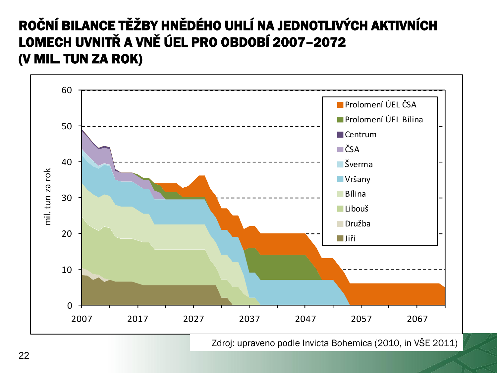#### ROČNÍ BILANCE TĚŽBY HNĚDÉHO UHLÍ NA JEDNOTLIVÝCH AKTIVNÍCH LOMECH UVNITŘ A VNĚ ÚEL PRO OBDOBÍ 2007–2072 (V MIL. TUN ZA ROK)

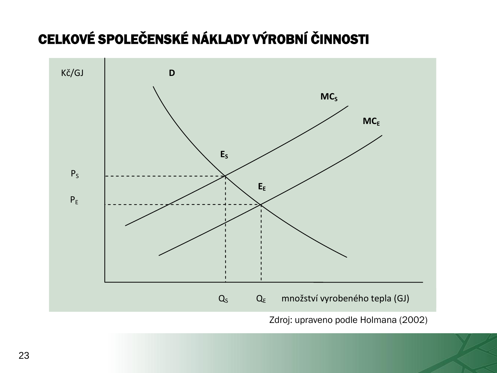## CELKOVÉ SPOLEČENSKÉ NÁKLADY VÝROBNÍ ČINNOSTI



Zdroj: upraveno podle Holmana (2002)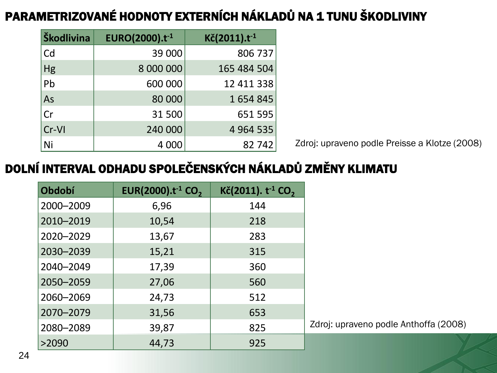#### PARAMETRIZOVANÉ HODNOTY EXTERNÍCH NÁKLADŮ NA 1 TUNU ŠKODLIVINY

| Škodlivina | EURO(2000). $t^{-1}$ | $K\check{c}(2011).t^{-1}$ |
|------------|----------------------|---------------------------|
| <b>Cd</b>  | 39 000               | 806 737                   |
|            | 8 000 000            | 165 484 504               |
| Hg<br>Pb   | 600 000              | 12 411 338                |
| As         | 80 000               | 1654845                   |
| Cr         | 31 500               | 651 595                   |
| $ Cr-V $   | 240 000              | 4 9 64 5 35               |
| $\vert$ Ni | 4 000                | 82 742                    |

Zdroj: upraveno podle Preisse a Klotze (2008)

#### DOLNÍ INTERVAL ODHADU SPOLEČENSKÝCH NÁKLADŮ ZMĚNY KLIMATU

| Období    | EUR(2000).t <sup>-1</sup> CO <sub>2</sub> | Kč(2011). $t^{-1}$ CO <sub>2</sub> |                |
|-----------|-------------------------------------------|------------------------------------|----------------|
| 2000-2009 | 6,96                                      | 144                                |                |
| 2010-2019 | 10,54                                     | 218                                |                |
| 2020-2029 | 13,67                                     | 283                                |                |
| 2030-2039 | 15,21                                     | 315                                |                |
| 2040-2049 | 17,39                                     | 360                                |                |
| 2050-2059 | 27,06                                     | 560                                |                |
| 2060-2069 | 24,73                                     | 512                                |                |
| 2070-2079 | 31,56                                     | 653                                |                |
| 2080-2089 | 39,87                                     | 825                                | Zdroj: upraver |
| >2090     | 44,73                                     | 925                                |                |

no podle Anthoffa (2008)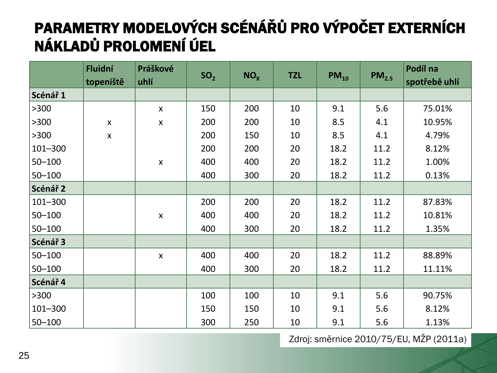## PARAMETRY MODELOVÝCH SCÉNÁŘŮ PRO VÝPOČET EXTERNÍCH NÁKLADŮ PROLOMENÍ ÚEL

|                     | Fluidní<br>topeniště      | Práškové<br>uhlí | SO <sub>2</sub> | NO <sub>x</sub> | <b>TZL</b> | $PM_{10}$ | PM <sub>2.5</sub> | Podíl na<br>spotřebě uhlí |
|---------------------|---------------------------|------------------|-----------------|-----------------|------------|-----------|-------------------|---------------------------|
| Scénář <sub>1</sub> |                           |                  |                 |                 |            |           |                   |                           |
| >300                |                           | $\mathsf{x}$     | 150             | 200             | 10         | 9.1       | 5.6               | 75.01%                    |
| >300                | $\boldsymbol{\mathsf{X}}$ | $\pmb{\times}$   | 200             | 200             | 10         | 8.5       | 4.1               | 10.95%                    |
| >300                | $\pmb{\mathsf{X}}$        |                  | 200             | 150             | 10         | 8.5       | 4.1               | 4.79%                     |
| $101 - 300$         |                           |                  | 200             | 200             | 20         | 18.2      | 11.2              | 8.12%                     |
| $50 - 100$          |                           | $\pmb{\times}$   | 400             | 400             | 20         | 18.2      | 11.2              | 1.00%                     |
| $50 - 100$          |                           |                  | 400             | 300             | 20         | 18.2      | 11.2              | 0.13%                     |
| Scénář <sub>2</sub> |                           |                  |                 |                 |            |           |                   |                           |
| $101 - 300$         |                           |                  | 200             | 200             | 20         | 18.2      | 11.2              | 87.83%                    |
| $50 - 100$          |                           | $\pmb{\times}$   | 400             | 400             | 20         | 18.2      | 11.2              | 10.81%                    |
| $50 - 100$          |                           |                  | 400             | 300             | 20         | 18.2      | 11.2              | 1.35%                     |
| Scénář 3            |                           |                  |                 |                 |            |           |                   |                           |
| $50 - 100$          |                           | $\pmb{\times}$   | 400             | 400             | 20         | 18.2      | 11.2              | 88.89%                    |
| $50 - 100$          |                           |                  | 400             | 300             | 20         | 18.2      | 11.2              | 11.11%                    |
| Scénář 4            |                           |                  |                 |                 |            |           |                   |                           |
| >300                |                           |                  | 100             | 100             | 10         | 9.1       | 5.6               | 90.75%                    |
| $101 - 300$         |                           |                  | 150             | 150             | 10         | 9.1       | 5.6               | 8.12%                     |
| $50 - 100$          |                           |                  | 300             | 250             | 10         | 9.1       | 5.6               | 1.13%                     |

Zdroj: směrnice 2010/75/EU, MŽP (2011a)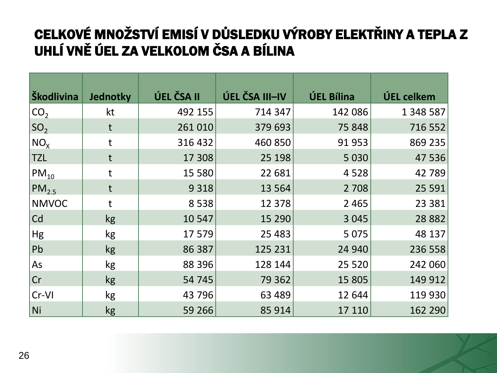#### CELKOVÉ MNOŽSTVÍ EMISÍ V DŮSLEDKU VÝROBY ELEKTŘINY A TEPLA Z UHLÍ VNĚ ÚEL ZA VELKOLOM ČSA A BÍLINA

| Škodlivina      | Jednotky     | ÚEL ČSA II | ÚEL ČSA III-IV | <b>ÚEL Bílina</b> | ÚEL celkem |
|-----------------|--------------|------------|----------------|-------------------|------------|
| CO <sub>2</sub> | kt           | 492 155    | 714 347        | 142 086           | 1 348 587  |
| SO <sub>2</sub> | t            | 261 010    | 379 693        | 75 848            | 716 552    |
| $NO_{X}$        | t            | 316 432    | 460 850        | 91 953            | 869 235    |
| <b>TZL</b>      | t            | 17 308     | 25 198         | 5 0 3 0           | 47 536     |
| $PM_{10}$       | t            | 15 5 80    | 22 681         | 4528              | 42 789     |
| $PM_{2.5}$      | $\mathsf{t}$ | 9 3 1 8    | 13 5 64        | 2 7 0 8           | 25 5 91    |
| <b>NMVOC</b>    | t            | 8538       | 12 3 78        | 2 4 6 5           | 23 3 8 1   |
| <sub>cd</sub>   | kg           | 10 547     | 15 290         | 3 0 4 5           | 28 8 82    |
| Hg              | kg           | 17 579     | 25 4 83        | 5 0 7 5           | 48 137     |
| Pb              | kg           | 86 387     | 125 231        | 24 940            | 236 558    |
| As              | kg           | 88 396     | 128 144        | 25 5 20           | 242 060    |
| Cr              | kg           | 54 745     | 79 362         | 15 805            | 149 912    |
| Cr-VI           | kg           | 43 796     | 63 489         | 12 644            | 119 930    |
| $\vert$ Ni      | kg           | 59 266     | 85 914         | 17 110            | 162 290    |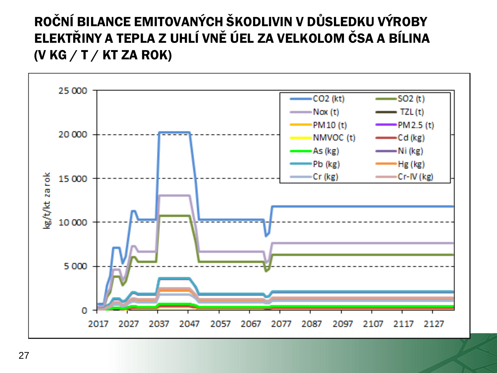#### ROČNÍ BILANCE EMITOVANÝCH ŠKODLIVIN V DŮSLEDKU VÝROBY ELEKTŘINY A TEPLA Z UHLÍ VNĚ ÚEL ZA VELKOLOM ČSA A BÍLINA (V KG  $/$  T  $/$  KT ZA ROK)